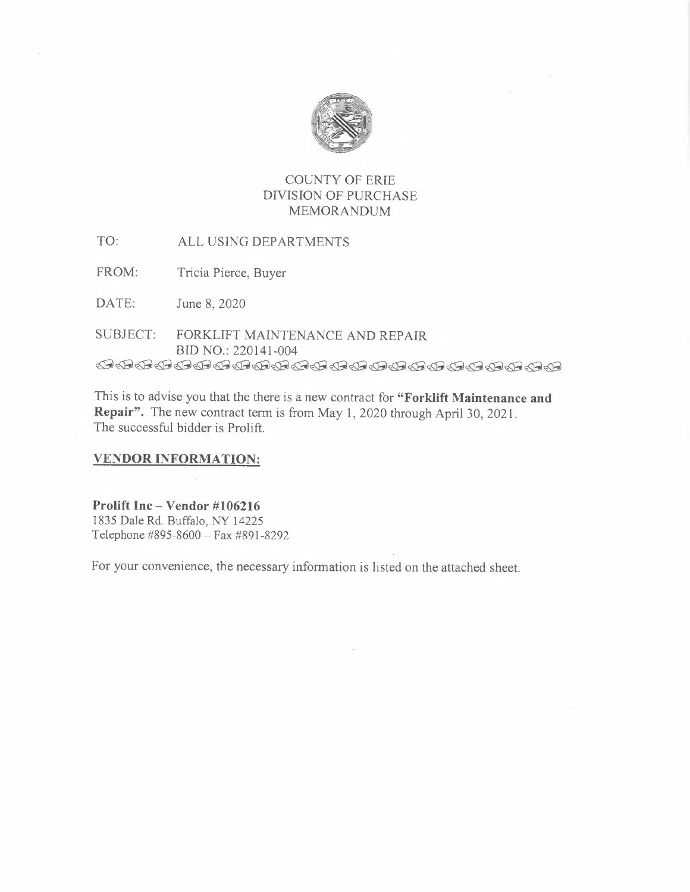

## COUNTY OF ERIE DIVISION OF PURCHASE MEMORANDUM

TO: ALL USING DEPARTMENTS

FROM: Tricia Pierce, Buyer

DATE: June 8, 2020

SUBJECT: FORKLIFT MAINTENANCE AND REPAIR BID NO.: 220141-004 *Ke@»re @4&@ @ @=' »»»&»»&@» e=es* 

This is to advise you that the there is a new contract for **"Forklift Maintenance and Repair".** The new contract term is from May 1, 2020 through April 30, 2021. The successful bidder is Prolift.

## **VENDOR INFORMATION:**

**Prolift Inc- Vendor #106216**  I 835 Dale Rd. Buffalo, NY 14225 Telephone #895-8600= Fax #891-8292

For your convenience, the necessary information is listed on the attached sheet.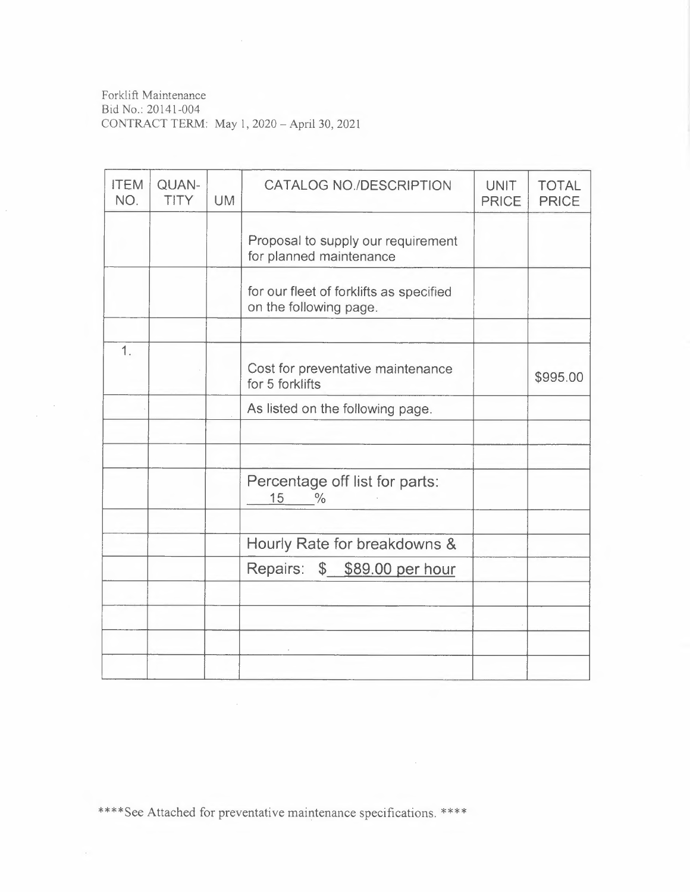Forklift Maintenance Bid No.: 20141-004 CONTRACT TERM: May 1, 2020= April 30, 2021

| <b>ITEM</b><br>NO. | QUAN-<br><b>TITY</b> | <b>UM</b> | <b>CATALOG NO./DESCRIPTION</b>                                    | <b>UNIT</b><br><b>PRICE</b> | <b>TOTAL</b><br><b>PRICE</b> |
|--------------------|----------------------|-----------|-------------------------------------------------------------------|-----------------------------|------------------------------|
|                    |                      |           | Proposal to supply our requirement<br>for planned maintenance     |                             |                              |
|                    |                      |           | for our fleet of forklifts as specified<br>on the following page. |                             |                              |
|                    |                      |           |                                                                   |                             |                              |
| 1.                 |                      |           | Cost for preventative maintenance<br>for 5 forklifts              |                             | \$995.00                     |
|                    |                      |           | As listed on the following page.                                  |                             |                              |
|                    |                      |           |                                                                   |                             |                              |
|                    |                      |           |                                                                   |                             |                              |
|                    |                      |           | Percentage off list for parts:<br>15<br>$\frac{0}{0}$             |                             |                              |
|                    |                      |           | Hourly Rate for breakdowns &                                      |                             |                              |
|                    |                      |           | Repairs:<br>\$ \$89.00 per hour                                   |                             |                              |
|                    |                      |           |                                                                   |                             |                              |
|                    |                      |           |                                                                   |                             |                              |
|                    |                      |           |                                                                   |                             |                              |
|                    |                      |           |                                                                   |                             |                              |

\*\*\*\*See Attached for preventative maintenance specifications. \*\*\*\*